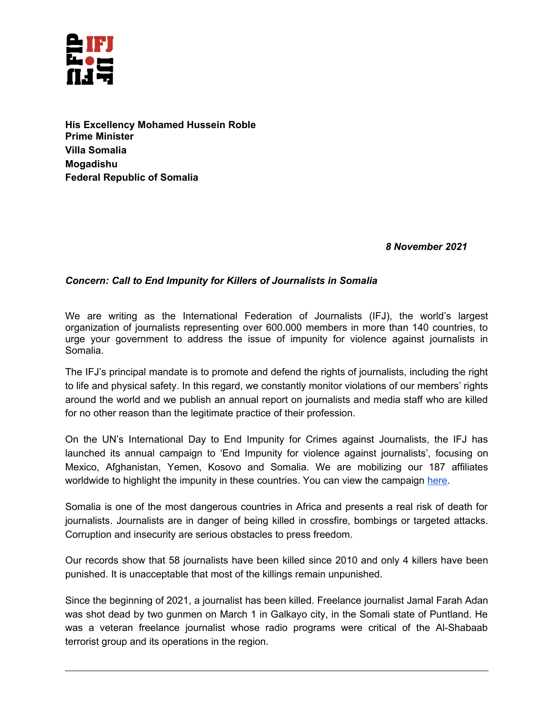

**His Excellency Mohamed Hussein Roble Prime Minister Villa Somalia Mogadishu Federal Republic of Somalia** 

## *8 November 2021*

## *Concern: Call to End Impunity for Killers of Journalists in Somalia*

We are writing as the International Federation of Journalists (IFJ), the world's largest organization of journalists representing over 600.000 members in more than 140 countries, to urge your government to address the issue of impunity for violence against journalists in Somalia.

The IFJ's principal mandate is to promote and defend the rights of journalists, including the right to life and physical safety. In this regard, we constantly monitor violations of our members' rights around the world and we publish an annual report on journalists and media staff who are killed for no other reason than the legitimate practice of their profession.

On the UN's International Day to End Impunity for Crimes against Journalists, the IFJ has launched its annual campaign to 'End Impunity for violence against journalists', focusing on Mexico, Afghanistan, Yemen, Kosovo and Somalia. We are mobilizing our 187 affiliates worldwide to highlight the impunity in these countries. You can view the campaign [here.](https://www.ifj.org/actions/ifj-campaigns/end-impunity-2021.html)

Somalia is one of the most dangerous countries in Africa and presents a real risk of death for journalists. Journalists are in danger of being killed in crossfire, bombings or targeted attacks. Corruption and insecurity are serious obstacles to press freedom.

Our records show that 58 journalists have been killed since 2010 and only 4 killers have been punished. It is unacceptable that most of the killings remain unpunished.

Since the beginning of 2021, a journalist has been killed. Freelance journalist Jamal Farah Adan was shot dead by two gunmen on March 1 in Galkayo city, in the Somali state of Puntland. He was a veteran freelance journalist whose radio programs were critical of the Al-Shabaab terrorist group and its operations in the region.